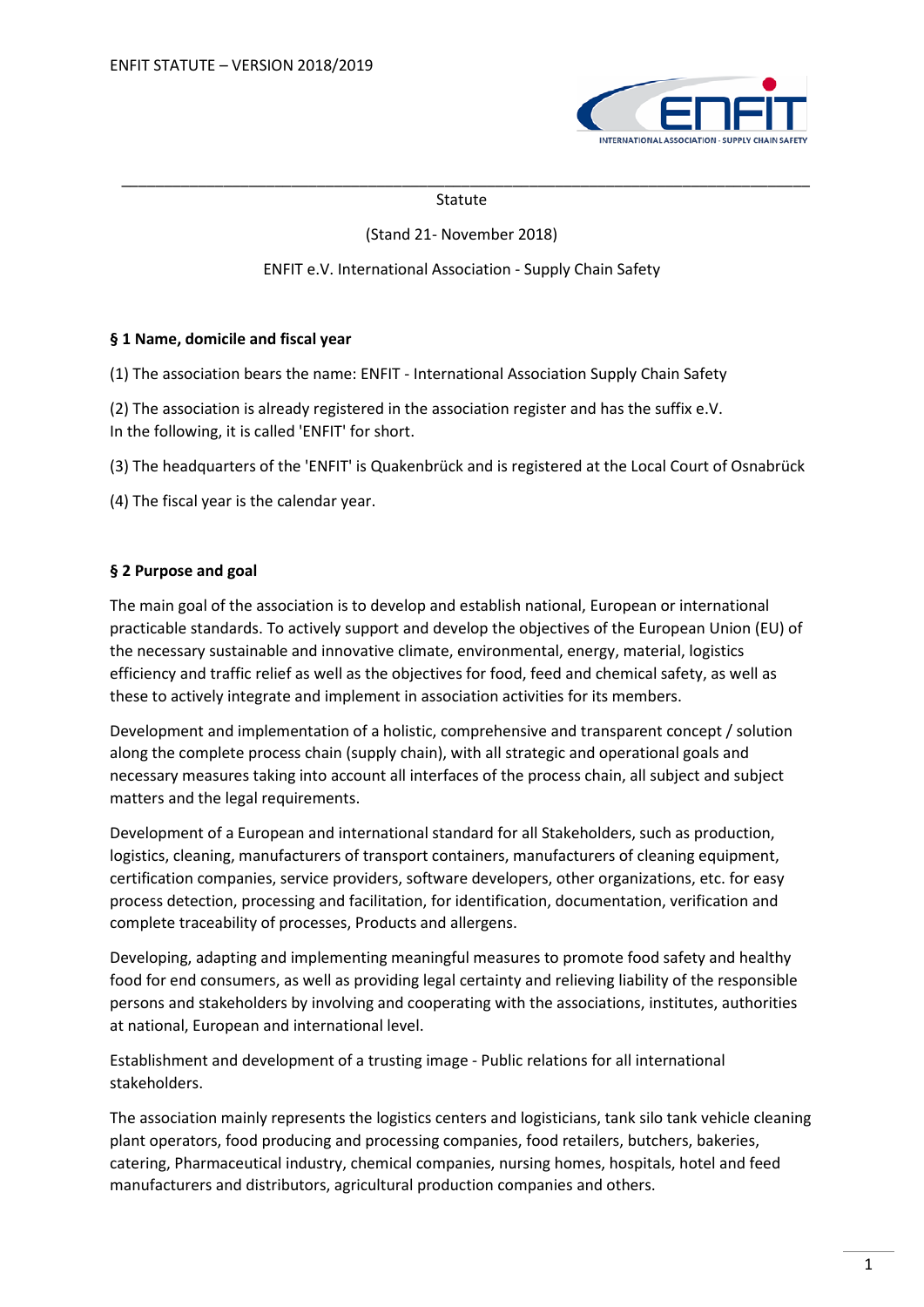

#### \_\_\_\_\_\_\_\_\_\_\_\_\_\_\_\_\_\_\_\_\_\_\_\_\_\_\_\_\_\_\_\_\_\_\_\_\_\_\_\_\_\_\_\_\_\_\_\_\_\_\_\_\_\_\_\_\_\_\_\_\_\_\_\_\_\_\_\_\_\_\_\_\_\_\_\_\_\_\_\_\_ Statute

## (Stand 21- November 2018)

## ENFIT e.V. International Association - Supply Chain Safety

### **§ 1 Name, domicile and fiscal year**

(1) The association bears the name: ENFIT - International Association Supply Chain Safety

(2) The association is already registered in the association register and has the suffix e.V. In the following, it is called 'ENFIT' for short.

(3) The headquarters of the 'ENFIT' is Quakenbrück and is registered at the Local Court of Osnabrück

(4) The fiscal year is the calendar year.

## **§ 2 Purpose and goal**

The main goal of the association is to develop and establish national, European or international practicable standards. To actively support and develop the objectives of the European Union (EU) of the necessary sustainable and innovative climate, environmental, energy, material, logistics efficiency and traffic relief as well as the objectives for food, feed and chemical safety, as well as these to actively integrate and implement in association activities for its members.

Development and implementation of a holistic, comprehensive and transparent concept / solution along the complete process chain (supply chain), with all strategic and operational goals and necessary measures taking into account all interfaces of the process chain, all subject and subject matters and the legal requirements.

Development of a European and international standard for all Stakeholders, such as production, logistics, cleaning, manufacturers of transport containers, manufacturers of cleaning equipment, certification companies, service providers, software developers, other organizations, etc. for easy process detection, processing and facilitation, for identification, documentation, verification and complete traceability of processes, Products and allergens.

Developing, adapting and implementing meaningful measures to promote food safety and healthy food for end consumers, as well as providing legal certainty and relieving liability of the responsible persons and stakeholders by involving and cooperating with the associations, institutes, authorities at national, European and international level.

Establishment and development of a trusting image - Public relations for all international stakeholders.

The association mainly represents the logistics centers and logisticians, tank silo tank vehicle cleaning plant operators, food producing and processing companies, food retailers, butchers, bakeries, catering, Pharmaceutical industry, chemical companies, nursing homes, hospitals, hotel and feed manufacturers and distributors, agricultural production companies and others.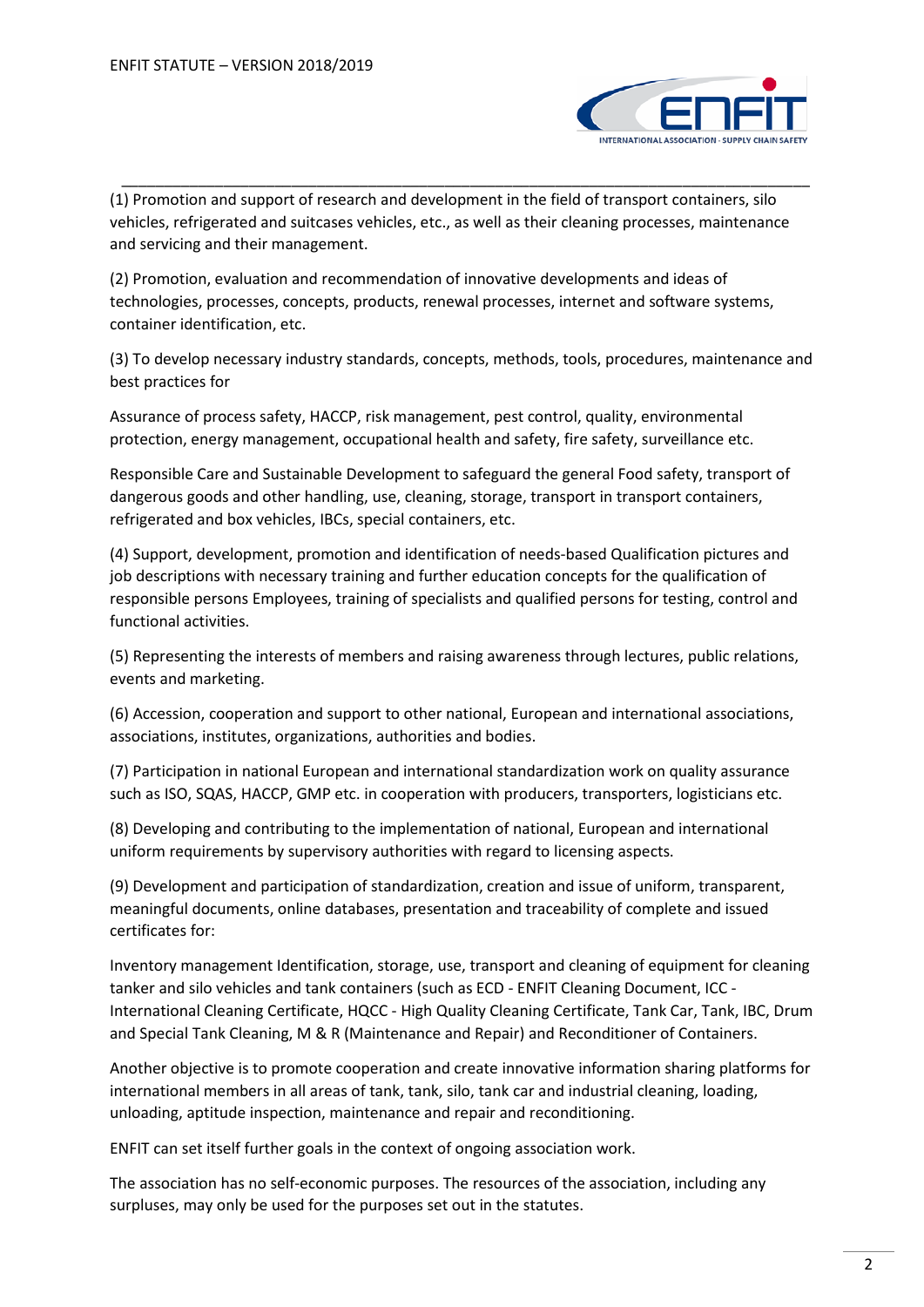

(1) Promotion and support of research and development in the field of transport containers, silo vehicles, refrigerated and suitcases vehicles, etc., as well as their cleaning processes, maintenance and servicing and their management.

\_\_\_\_\_\_\_\_\_\_\_\_\_\_\_\_\_\_\_\_\_\_\_\_\_\_\_\_\_\_\_\_\_\_\_\_\_\_\_\_\_\_\_\_\_\_\_\_\_\_\_\_\_\_\_\_\_\_\_\_\_\_\_\_\_\_\_\_\_\_\_\_\_\_\_\_\_\_\_\_\_

(2) Promotion, evaluation and recommendation of innovative developments and ideas of technologies, processes, concepts, products, renewal processes, internet and software systems, container identification, etc.

(3) To develop necessary industry standards, concepts, methods, tools, procedures, maintenance and best practices for

Assurance of process safety, HACCP, risk management, pest control, quality, environmental protection, energy management, occupational health and safety, fire safety, surveillance etc.

Responsible Care and Sustainable Development to safeguard the general Food safety, transport of dangerous goods and other handling, use, cleaning, storage, transport in transport containers, refrigerated and box vehicles, IBCs, special containers, etc.

(4) Support, development, promotion and identification of needs-based Qualification pictures and job descriptions with necessary training and further education concepts for the qualification of responsible persons Employees, training of specialists and qualified persons for testing, control and functional activities.

(5) Representing the interests of members and raising awareness through lectures, public relations, events and marketing.

(6) Accession, cooperation and support to other national, European and international associations, associations, institutes, organizations, authorities and bodies.

(7) Participation in national European and international standardization work on quality assurance such as ISO, SQAS, HACCP, GMP etc. in cooperation with producers, transporters, logisticians etc.

(8) Developing and contributing to the implementation of national, European and international uniform requirements by supervisory authorities with regard to licensing aspects.

(9) Development and participation of standardization, creation and issue of uniform, transparent, meaningful documents, online databases, presentation and traceability of complete and issued certificates for:

Inventory management Identification, storage, use, transport and cleaning of equipment for cleaning tanker and silo vehicles and tank containers (such as ECD - ENFIT Cleaning Document, ICC - International Cleaning Certificate, HQCC - High Quality Cleaning Certificate, Tank Car, Tank, IBC, Drum and Special Tank Cleaning, M & R (Maintenance and Repair) and Reconditioner of Containers.

Another objective is to promote cooperation and create innovative information sharing platforms for international members in all areas of tank, tank, silo, tank car and industrial cleaning, loading, unloading, aptitude inspection, maintenance and repair and reconditioning.

ENFIT can set itself further goals in the context of ongoing association work.

The association has no self-economic purposes. The resources of the association, including any surpluses, may only be used for the purposes set out in the statutes.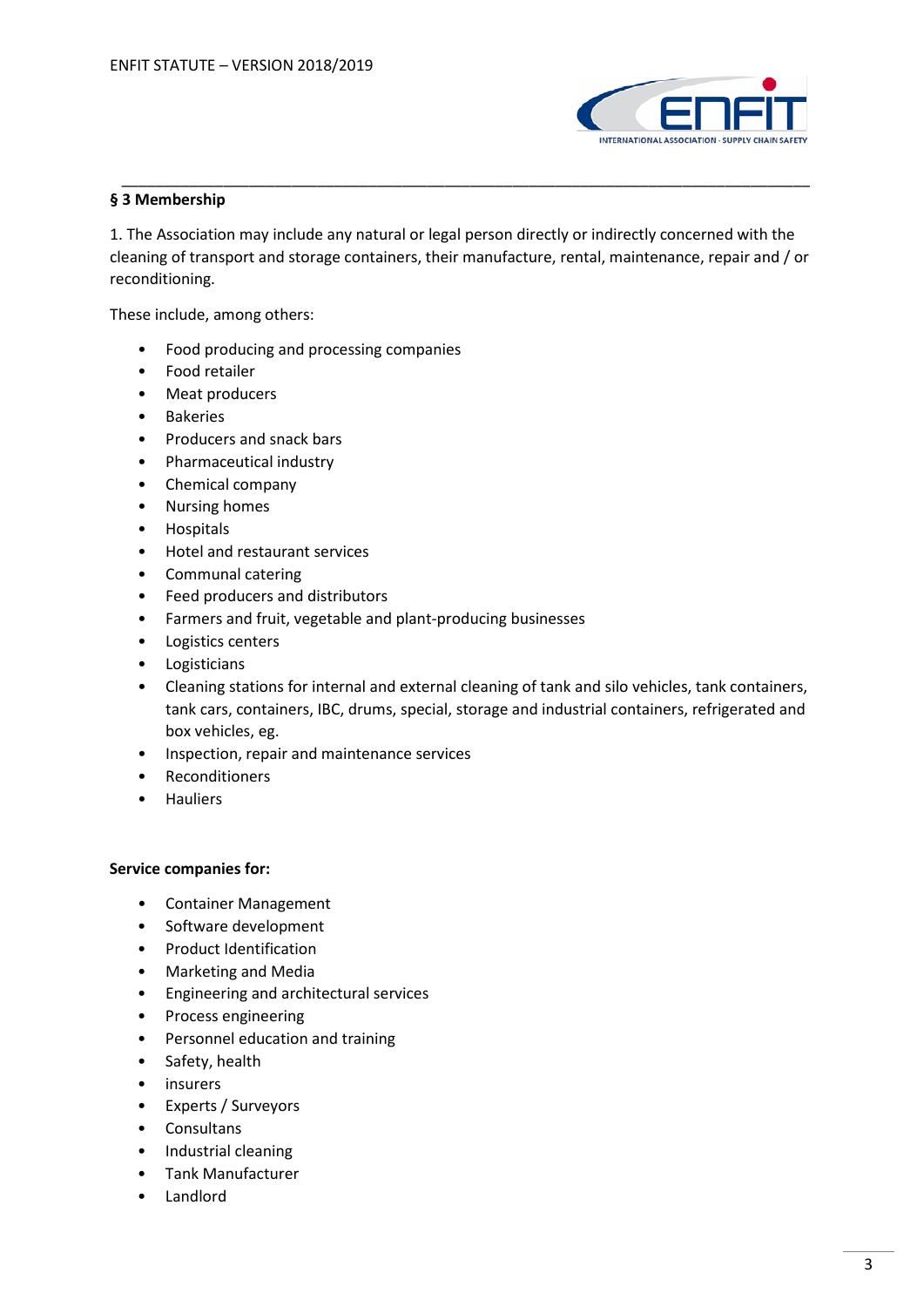

# **§ 3 Membership**

1. The Association may include any natural or legal person directly or indirectly concerned with the cleaning of transport and storage containers, their manufacture, rental, maintenance, repair and / or reconditioning.

\_\_\_\_\_\_\_\_\_\_\_\_\_\_\_\_\_\_\_\_\_\_\_\_\_\_\_\_\_\_\_\_\_\_\_\_\_\_\_\_\_\_\_\_\_\_\_\_\_\_\_\_\_\_\_\_\_\_\_\_\_\_\_\_\_\_\_\_\_\_\_\_\_\_\_\_\_\_\_\_\_

These include, among others:

- Food producing and processing companies
- Food retailer
- Meat producers
- Bakeries
- Producers and snack bars
- Pharmaceutical industry
- Chemical company
- Nursing homes
- Hospitals
- Hotel and restaurant services
- Communal catering
- Feed producers and distributors
- Farmers and fruit, vegetable and plant-producing businesses
- Logistics centers
- Logisticians
- Cleaning stations for internal and external cleaning of tank and silo vehicles, tank containers, tank cars, containers, IBC, drums, special, storage and industrial containers, refrigerated and box vehicles, eg.
- Inspection, repair and maintenance services
- Reconditioners
- Hauliers

### **Service companies for:**

- Container Management
- Software development
- Product Identification
- Marketing and Media
- Engineering and architectural services
- Process engineering
- Personnel education and training
- Safety, health
- insurers
- Experts / Surveyors
- Consultans
- Industrial cleaning
- Tank Manufacturer
- Landlord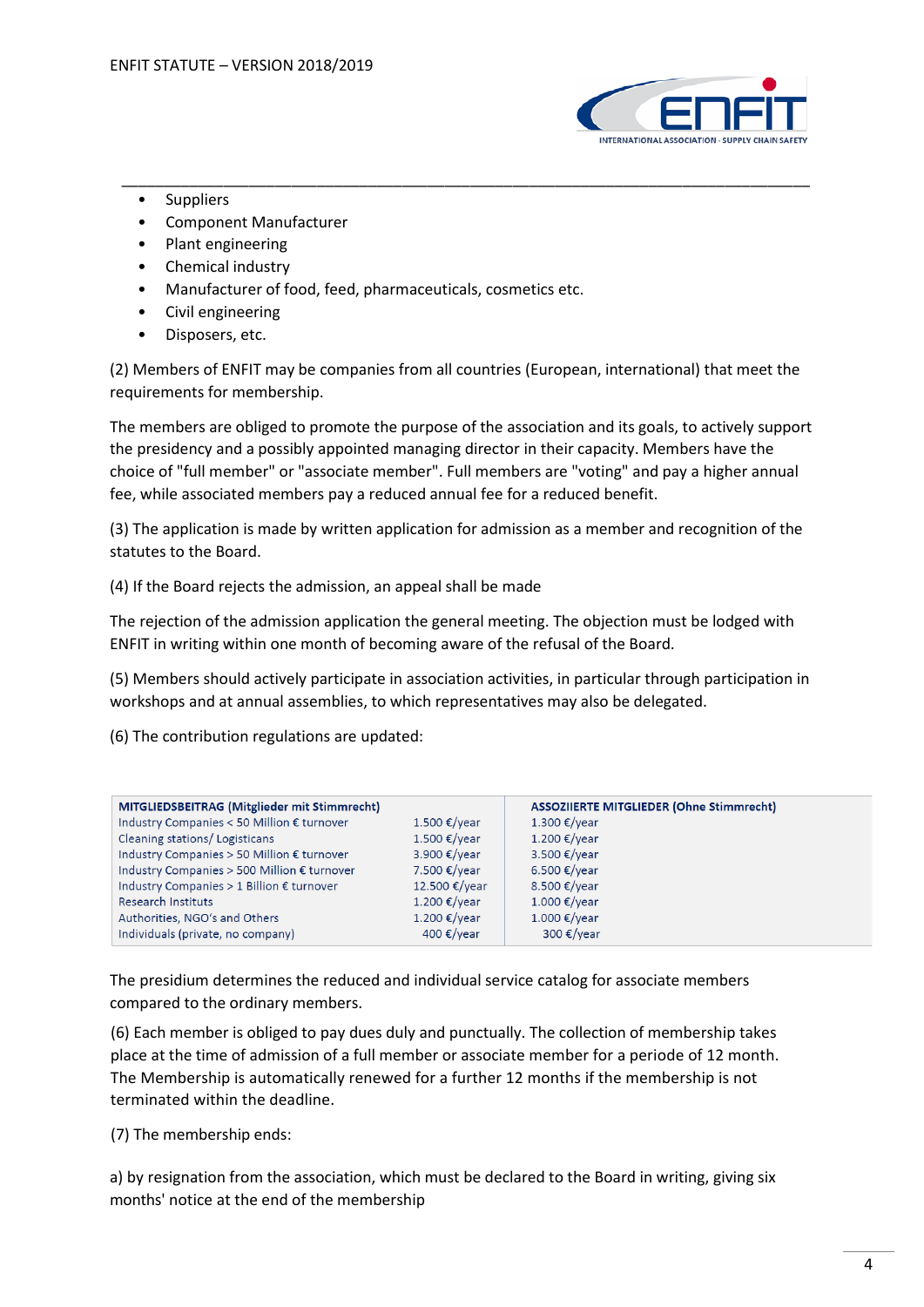

- Suppliers
- Component Manufacturer
- Plant engineering
- Chemical industry
- Manufacturer of food, feed, pharmaceuticals, cosmetics etc.
- Civil engineering
- Disposers, etc.

(2) Members of ENFIT may be companies from all countries (European, international) that meet the requirements for membership.

\_\_\_\_\_\_\_\_\_\_\_\_\_\_\_\_\_\_\_\_\_\_\_\_\_\_\_\_\_\_\_\_\_\_\_\_\_\_\_\_\_\_\_\_\_\_\_\_\_\_\_\_\_\_\_\_\_\_\_\_\_\_\_\_\_\_\_\_\_\_\_\_\_\_\_\_\_\_\_\_\_

The members are obliged to promote the purpose of the association and its goals, to actively support the presidency and a possibly appointed managing director in their capacity. Members have the choice of "full member" or "associate member". Full members are "voting" and pay a higher annual fee, while associated members pay a reduced annual fee for a reduced benefit.

(3) The application is made by written application for admission as a member and recognition of the statutes to the Board.

(4) If the Board rejects the admission, an appeal shall be made

The rejection of the admission application the general meeting. The objection must be lodged with ENFIT in writing within one month of becoming aware of the refusal of the Board.

(5) Members should actively participate in association activities, in particular through participation in workshops and at annual assemblies, to which representatives may also be delegated.

(6) The contribution regulations are updated:

| MITGLIEDSBEITRAG (Mitglieder mit Stimmrecht) |                               | <b>ASSOZIIERTE MITGLIEDER (Ohne Stimmrecht)</b> |
|----------------------------------------------|-------------------------------|-------------------------------------------------|
| Industry Companies < 50 Million € turnover   | $1.500 \text{ €}/\text{year}$ | 1.300 €/year                                    |
| Cleaning stations/Logisticans                | $1.500 \text{€/year}$         | 1.200 €/year                                    |
| Industry Companies > 50 Million € turnover   | 3.900 €/year                  | 3.500 €/year                                    |
| Industry Companies > 500 Million € turnover  | 7.500 €/year                  | 6.500 €/year                                    |
| Industry Companies > 1 Billion € turnover    | 12.500 €/year                 | 8.500 €/vear                                    |
| <b>Research Instituts</b>                    | $1.200 \text{ €}/\text{year}$ | $1.000 \text{€/year}$                           |
| Authorities, NGO's and Others                | 1.200 €/year                  | $1.000 \text{ €/year}$                          |
| Individuals (private, no company)            | 400 €/year                    | 300 $\epsilon$ /year                            |

The presidium determines the reduced and individual service catalog for associate members compared to the ordinary members.

(6) Each member is obliged to pay dues duly and punctually. The collection of membership takes place at the time of admission of a full member or associate member for a periode of 12 month. The Membership is automatically renewed for a further 12 months if the membership is not terminated within the deadline.

(7) The membership ends:

a) by resignation from the association, which must be declared to the Board in writing, giving six months' notice at the end of the membership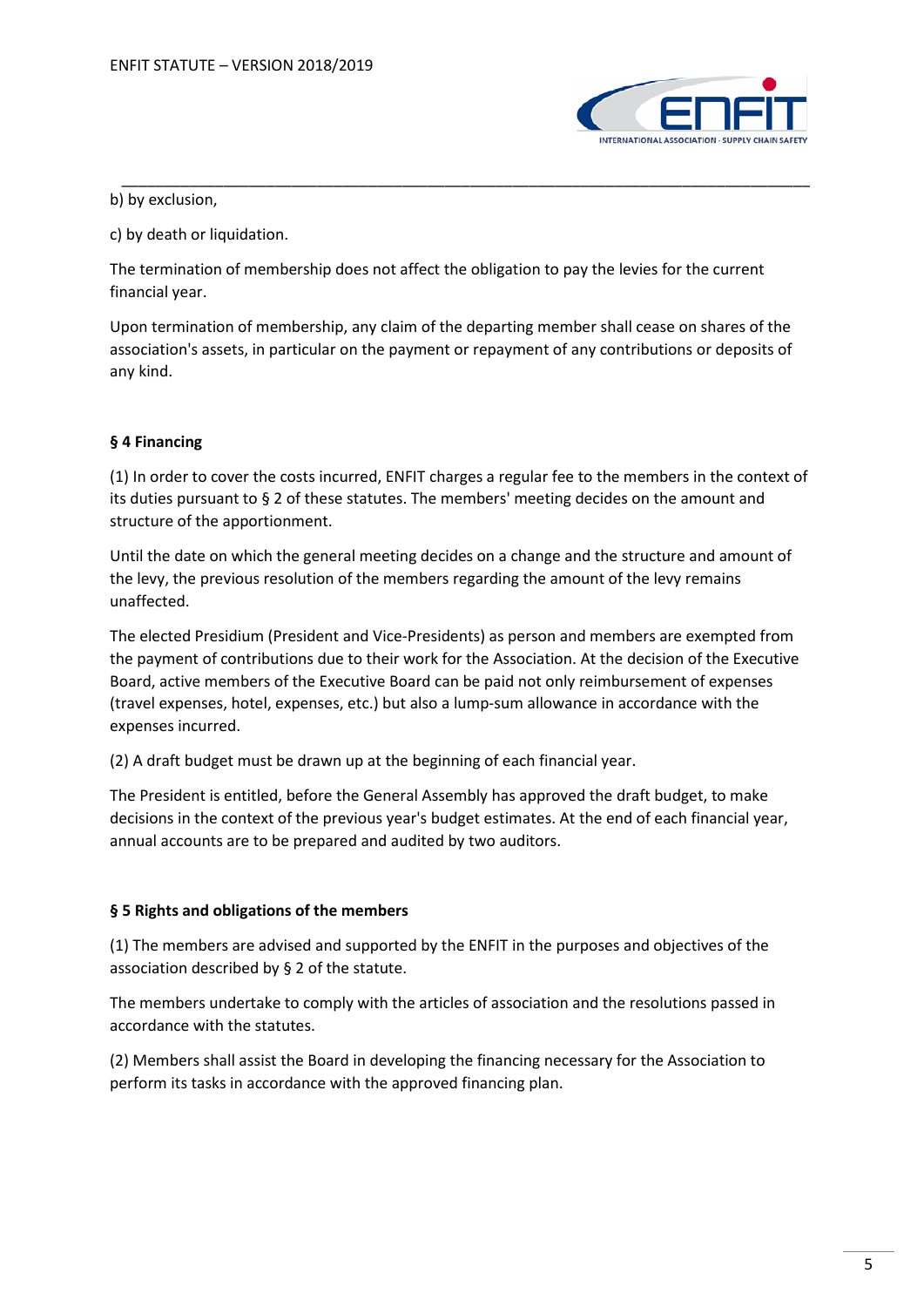

b) by exclusion,

c) by death or liquidation.

The termination of membership does not affect the obligation to pay the levies for the current financial year.

Upon termination of membership, any claim of the departing member shall cease on shares of the association's assets, in particular on the payment or repayment of any contributions or deposits of any kind.

\_\_\_\_\_\_\_\_\_\_\_\_\_\_\_\_\_\_\_\_\_\_\_\_\_\_\_\_\_\_\_\_\_\_\_\_\_\_\_\_\_\_\_\_\_\_\_\_\_\_\_\_\_\_\_\_\_\_\_\_\_\_\_\_\_\_\_\_\_\_\_\_\_\_\_\_\_\_\_\_\_

# **§ 4 Financing**

(1) In order to cover the costs incurred, ENFIT charges a regular fee to the members in the context of its duties pursuant to § 2 of these statutes. The members' meeting decides on the amount and structure of the apportionment.

Until the date on which the general meeting decides on a change and the structure and amount of the levy, the previous resolution of the members regarding the amount of the levy remains unaffected.

The elected Presidium (President and Vice-Presidents) as person and members are exempted from the payment of contributions due to their work for the Association. At the decision of the Executive Board, active members of the Executive Board can be paid not only reimbursement of expenses (travel expenses, hotel, expenses, etc.) but also a lump-sum allowance in accordance with the expenses incurred.

(2) A draft budget must be drawn up at the beginning of each financial year.

The President is entitled, before the General Assembly has approved the draft budget, to make decisions in the context of the previous year's budget estimates. At the end of each financial year, annual accounts are to be prepared and audited by two auditors.

# **§ 5 Rights and obligations of the members**

(1) The members are advised and supported by the ENFIT in the purposes and objectives of the association described by § 2 of the statute.

The members undertake to comply with the articles of association and the resolutions passed in accordance with the statutes.

(2) Members shall assist the Board in developing the financing necessary for the Association to perform its tasks in accordance with the approved financing plan.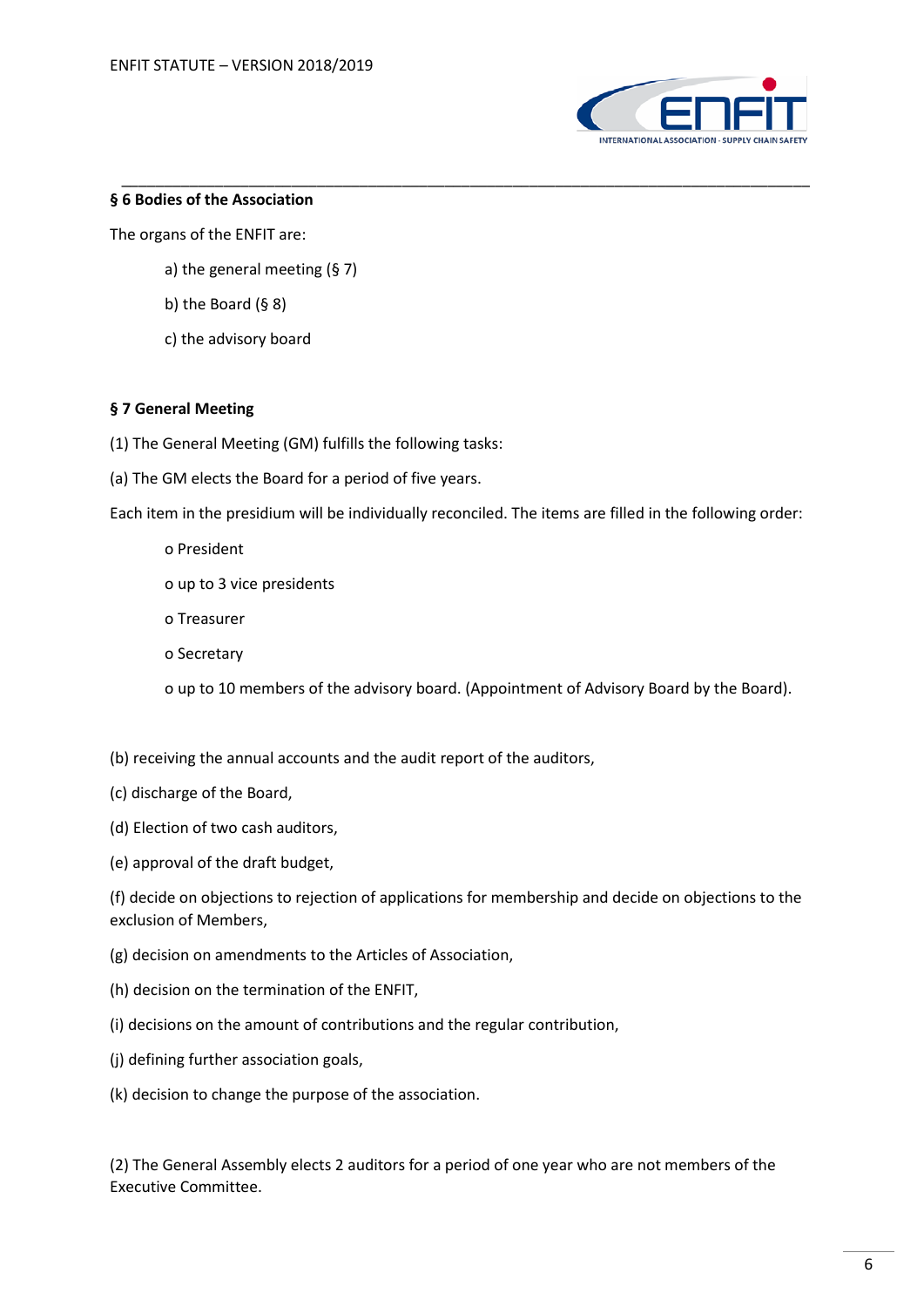

## **§ 6 Bodies of the Association**

The organs of the ENFIT are:

- a) the general meeting (§ 7)
- b) the Board  $(§ 8)$
- c) the advisory board

## **§ 7 General Meeting**

- (1) The General Meeting (GM) fulfills the following tasks:
- (a) The GM elects the Board for a period of five years.

Each item in the presidium will be individually reconciled. The items are filled in the following order:

\_\_\_\_\_\_\_\_\_\_\_\_\_\_\_\_\_\_\_\_\_\_\_\_\_\_\_\_\_\_\_\_\_\_\_\_\_\_\_\_\_\_\_\_\_\_\_\_\_\_\_\_\_\_\_\_\_\_\_\_\_\_\_\_\_\_\_\_\_\_\_\_\_\_\_\_\_\_\_\_\_

o President

o up to 3 vice presidents

- o Treasurer
- o Secretary

o up to 10 members of the advisory board. (Appointment of Advisory Board by the Board).

- (b) receiving the annual accounts and the audit report of the auditors,
- (c) discharge of the Board,
- (d) Election of two cash auditors,
- (e) approval of the draft budget,

(f) decide on objections to rejection of applications for membership and decide on objections to the exclusion of Members,

- (g) decision on amendments to the Articles of Association,
- (h) decision on the termination of the ENFIT,
- (i) decisions on the amount of contributions and the regular contribution,
- (j) defining further association goals,
- (k) decision to change the purpose of the association.

(2) The General Assembly elects 2 auditors for a period of one year who are not members of the Executive Committee.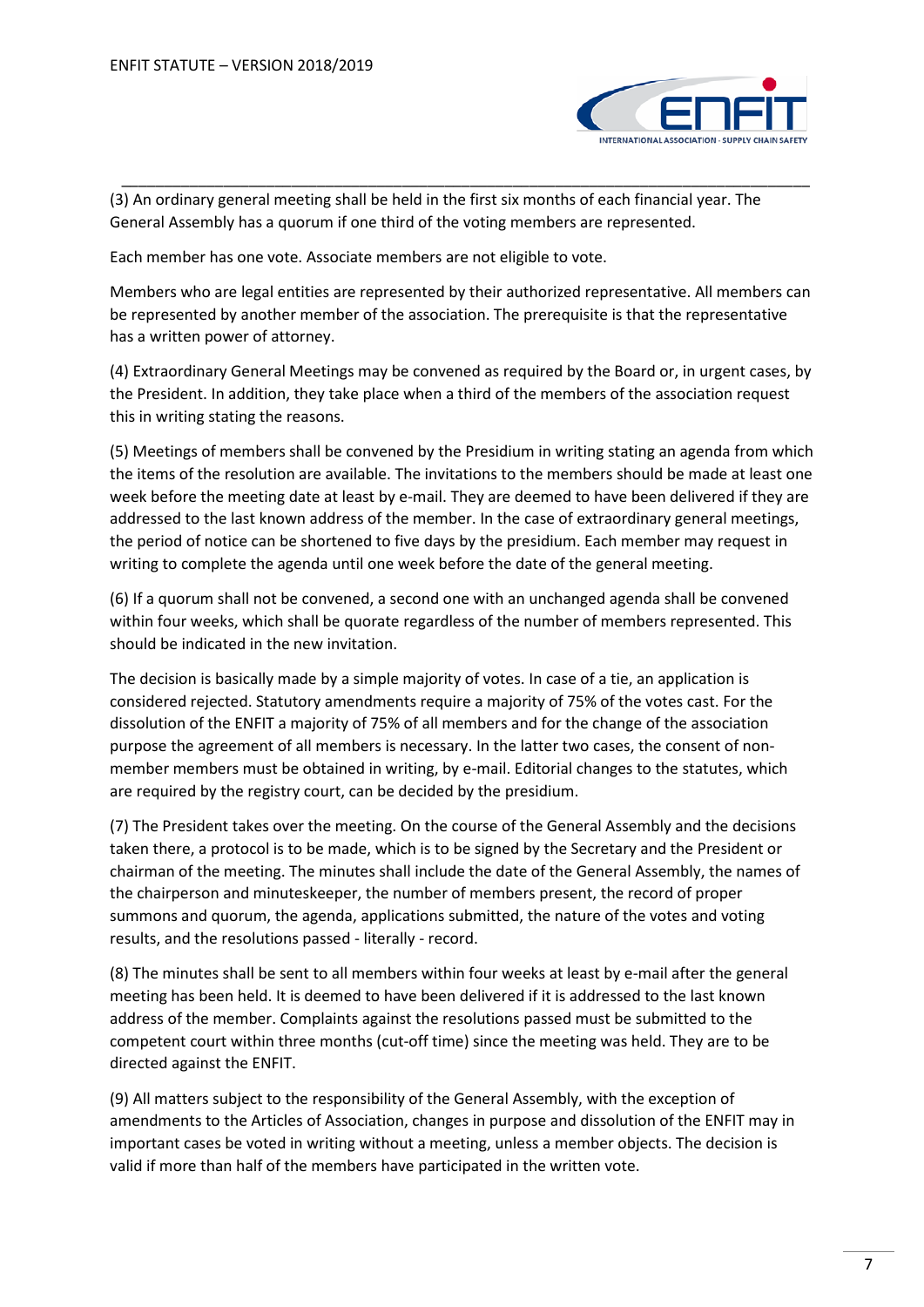

(3) An ordinary general meeting shall be held in the first six months of each financial year. The General Assembly has a quorum if one third of the voting members are represented.

\_\_\_\_\_\_\_\_\_\_\_\_\_\_\_\_\_\_\_\_\_\_\_\_\_\_\_\_\_\_\_\_\_\_\_\_\_\_\_\_\_\_\_\_\_\_\_\_\_\_\_\_\_\_\_\_\_\_\_\_\_\_\_\_\_\_\_\_\_\_\_\_\_\_\_\_\_\_\_\_\_

Each member has one vote. Associate members are not eligible to vote.

Members who are legal entities are represented by their authorized representative. All members can be represented by another member of the association. The prerequisite is that the representative has a written power of attorney.

(4) Extraordinary General Meetings may be convened as required by the Board or, in urgent cases, by the President. In addition, they take place when a third of the members of the association request this in writing stating the reasons.

(5) Meetings of members shall be convened by the Presidium in writing stating an agenda from which the items of the resolution are available. The invitations to the members should be made at least one week before the meeting date at least by e-mail. They are deemed to have been delivered if they are addressed to the last known address of the member. In the case of extraordinary general meetings, the period of notice can be shortened to five days by the presidium. Each member may request in writing to complete the agenda until one week before the date of the general meeting.

(6) If a quorum shall not be convened, a second one with an unchanged agenda shall be convened within four weeks, which shall be quorate regardless of the number of members represented. This should be indicated in the new invitation.

The decision is basically made by a simple majority of votes. In case of a tie, an application is considered rejected. Statutory amendments require a majority of 75% of the votes cast. For the dissolution of the ENFIT a majority of 75% of all members and for the change of the association purpose the agreement of all members is necessary. In the latter two cases, the consent of nonmember members must be obtained in writing, by e-mail. Editorial changes to the statutes, which are required by the registry court, can be decided by the presidium.

(7) The President takes over the meeting. On the course of the General Assembly and the decisions taken there, a protocol is to be made, which is to be signed by the Secretary and the President or chairman of the meeting. The minutes shall include the date of the General Assembly, the names of the chairperson and minuteskeeper, the number of members present, the record of proper summons and quorum, the agenda, applications submitted, the nature of the votes and voting results, and the resolutions passed - literally - record.

(8) The minutes shall be sent to all members within four weeks at least by e-mail after the general meeting has been held. It is deemed to have been delivered if it is addressed to the last known address of the member. Complaints against the resolutions passed must be submitted to the competent court within three months (cut-off time) since the meeting was held. They are to be directed against the ENFIT.

(9) All matters subject to the responsibility of the General Assembly, with the exception of amendments to the Articles of Association, changes in purpose and dissolution of the ENFIT may in important cases be voted in writing without a meeting, unless a member objects. The decision is valid if more than half of the members have participated in the written vote.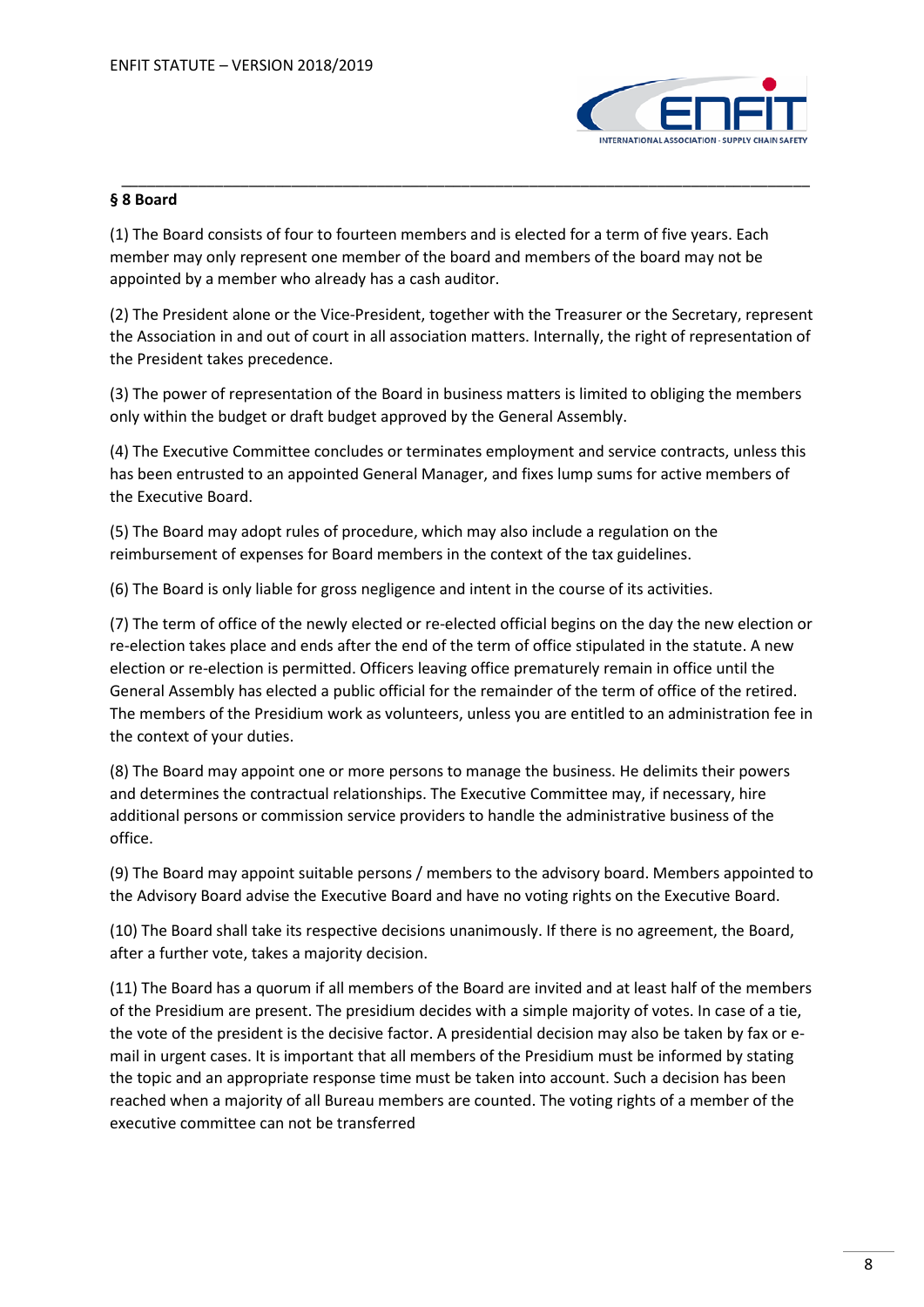

# **§ 8 Board**

(1) The Board consists of four to fourteen members and is elected for a term of five years. Each member may only represent one member of the board and members of the board may not be appointed by a member who already has a cash auditor.

\_\_\_\_\_\_\_\_\_\_\_\_\_\_\_\_\_\_\_\_\_\_\_\_\_\_\_\_\_\_\_\_\_\_\_\_\_\_\_\_\_\_\_\_\_\_\_\_\_\_\_\_\_\_\_\_\_\_\_\_\_\_\_\_\_\_\_\_\_\_\_\_\_\_\_\_\_\_\_\_\_

(2) The President alone or the Vice-President, together with the Treasurer or the Secretary, represent the Association in and out of court in all association matters. Internally, the right of representation of the President takes precedence.

(3) The power of representation of the Board in business matters is limited to obliging the members only within the budget or draft budget approved by the General Assembly.

(4) The Executive Committee concludes or terminates employment and service contracts, unless this has been entrusted to an appointed General Manager, and fixes lump sums for active members of the Executive Board.

(5) The Board may adopt rules of procedure, which may also include a regulation on the reimbursement of expenses for Board members in the context of the tax guidelines.

(6) The Board is only liable for gross negligence and intent in the course of its activities.

(7) The term of office of the newly elected or re-elected official begins on the day the new election or re-election takes place and ends after the end of the term of office stipulated in the statute. A new election or re-election is permitted. Officers leaving office prematurely remain in office until the General Assembly has elected a public official for the remainder of the term of office of the retired. The members of the Presidium work as volunteers, unless you are entitled to an administration fee in the context of your duties.

(8) The Board may appoint one or more persons to manage the business. He delimits their powers and determines the contractual relationships. The Executive Committee may, if necessary, hire additional persons or commission service providers to handle the administrative business of the office.

(9) The Board may appoint suitable persons / members to the advisory board. Members appointed to the Advisory Board advise the Executive Board and have no voting rights on the Executive Board.

(10) The Board shall take its respective decisions unanimously. If there is no agreement, the Board, after a further vote, takes a majority decision.

(11) The Board has a quorum if all members of the Board are invited and at least half of the members of the Presidium are present. The presidium decides with a simple majority of votes. In case of a tie, the vote of the president is the decisive factor. A presidential decision may also be taken by fax or email in urgent cases. It is important that all members of the Presidium must be informed by stating the topic and an appropriate response time must be taken into account. Such a decision has been reached when a majority of all Bureau members are counted. The voting rights of a member of the executive committee can not be transferred